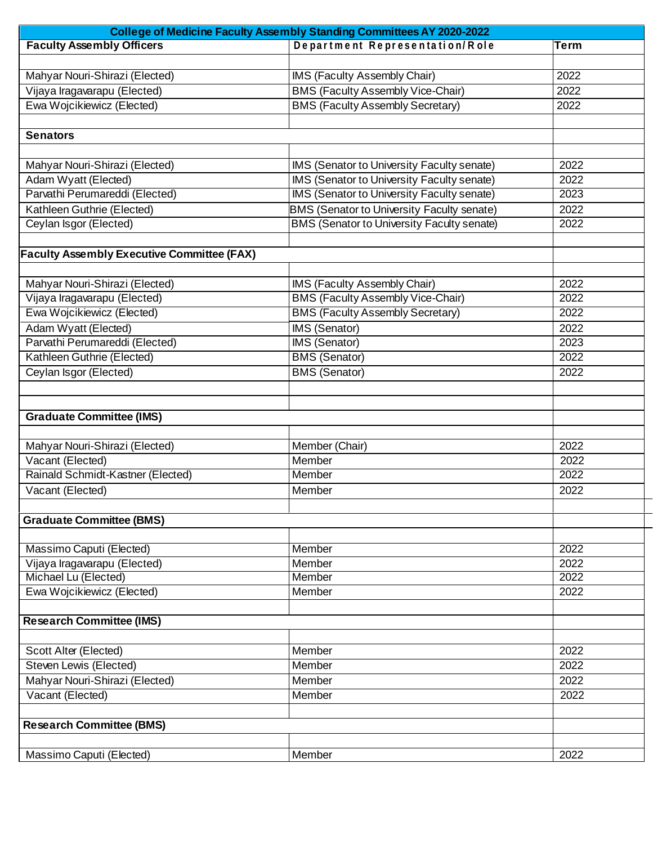| College of Medicine Faculty Assembly Standing Committees AY 2020-2022 |                                                   |      |  |  |
|-----------------------------------------------------------------------|---------------------------------------------------|------|--|--|
| <b>Faculty Assembly Officers</b>                                      | Department Representation/Role                    | Term |  |  |
|                                                                       |                                                   |      |  |  |
| Mahyar Nouri-Shirazi (Elected)                                        | <b>IMS (Faculty Assembly Chair)</b>               | 2022 |  |  |
| Vijaya Iragavarapu (Elected)                                          | <b>BMS (Faculty Assembly Vice-Chair)</b>          | 2022 |  |  |
| Ewa Wojcikiewicz (Elected)                                            | <b>BMS (Faculty Assembly Secretary)</b>           | 2022 |  |  |
|                                                                       |                                                   |      |  |  |
| <b>Senators</b>                                                       |                                                   |      |  |  |
|                                                                       |                                                   |      |  |  |
| Mahyar Nouri-Shirazi (Elected)                                        | IMS (Senator to University Faculty senate)        | 2022 |  |  |
| Adam Wyatt (Elected)                                                  | IMS (Senator to University Faculty senate)        | 2022 |  |  |
| Parvathi Perumareddi (Elected)                                        | IMS (Senator to University Faculty senate)        | 2023 |  |  |
| Kathleen Guthrie (Elected)                                            | <b>BMS (Senator to University Faculty senate)</b> | 2022 |  |  |
| Ceylan Isgor (Elected)                                                | BMS (Senator to University Faculty senate)        | 2022 |  |  |
|                                                                       |                                                   |      |  |  |
| <b>Faculty Assembly Executive Committee (FAX)</b>                     |                                                   |      |  |  |
|                                                                       |                                                   |      |  |  |
| Mahyar Nouri-Shirazi (Elected)                                        | IMS (Faculty Assembly Chair)                      | 2022 |  |  |
| Vijaya Iragavarapu (Elected)                                          | <b>BMS (Faculty Assembly Vice-Chair)</b>          | 2022 |  |  |
| Ewa Wojcikiewicz (Elected)                                            | <b>BMS (Faculty Assembly Secretary)</b>           | 2022 |  |  |
| Adam Wyatt (Elected)                                                  | IMS (Senator)                                     | 2022 |  |  |
| Parvathi Perumareddi (Elected)                                        | IMS (Senator)                                     | 2023 |  |  |
| Kathleen Guthrie (Elected)                                            | <b>BMS (Senator)</b>                              | 2022 |  |  |
| Ceylan Isgor (Elected)                                                | <b>BMS (Senator)</b>                              | 2022 |  |  |
|                                                                       |                                                   |      |  |  |
|                                                                       |                                                   |      |  |  |
| <b>Graduate Committee (IMS)</b>                                       |                                                   |      |  |  |
|                                                                       |                                                   |      |  |  |
| Mahyar Nouri-Shirazi (Elected)                                        | Member (Chair)                                    | 2022 |  |  |
| Vacant (Elected)                                                      | Member                                            | 2022 |  |  |
| Rainald Schmidt-Kastner (Elected)                                     | Member                                            | 2022 |  |  |
| Vacant (Elected)                                                      | Member                                            | 2022 |  |  |
|                                                                       |                                                   |      |  |  |
| <b>Graduate Committee (BMS)</b>                                       |                                                   |      |  |  |
|                                                                       |                                                   |      |  |  |
| Massimo Caputi (Elected)                                              | Member                                            | 2022 |  |  |
| Vijaya Iragavarapu (Elected)                                          | Member                                            | 2022 |  |  |
| Michael Lu (Elected)                                                  | Member                                            | 2022 |  |  |
| Ewa Wojcikiewicz (Elected)                                            | Member                                            | 2022 |  |  |
|                                                                       |                                                   |      |  |  |
| <b>Research Committee (IMS)</b>                                       |                                                   |      |  |  |
|                                                                       |                                                   |      |  |  |
| Scott Alter (Elected)                                                 | Member                                            | 2022 |  |  |
| Steven Lewis (Elected)                                                | <b>Member</b>                                     | 2022 |  |  |
| Mahyar Nouri-Shirazi (Elected)                                        | Member                                            | 2022 |  |  |
| Vacant (Elected)                                                      | <b>Member</b>                                     | 2022 |  |  |
|                                                                       |                                                   |      |  |  |
| <b>Research Committee (BMS)</b>                                       |                                                   |      |  |  |
|                                                                       |                                                   |      |  |  |
| Massimo Caputi (Elected)                                              | Member                                            | 2022 |  |  |
|                                                                       |                                                   |      |  |  |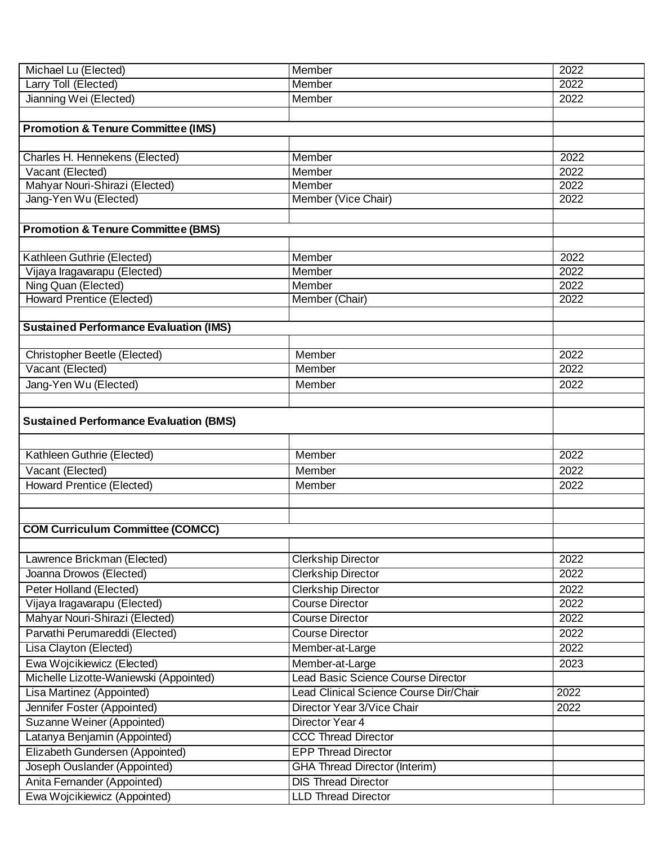| Michael Lu (Elected)                                        | Member                                                   | 2022              |  |  |
|-------------------------------------------------------------|----------------------------------------------------------|-------------------|--|--|
| Larry Toll (Elected)                                        | Member                                                   | 2022              |  |  |
| Jianning Wei (Elected)                                      | Member                                                   | 2022              |  |  |
|                                                             |                                                          |                   |  |  |
| <b>Promotion &amp; Tenure Committee (IMS)</b>               |                                                          |                   |  |  |
|                                                             |                                                          |                   |  |  |
| Charles H. Hennekens (Elected)                              | Member                                                   | 2022              |  |  |
| Vacant (Elected)                                            | Member                                                   | 2022              |  |  |
| Mahyar Nouri-Shirazi (Elected)                              | Member                                                   | 2022              |  |  |
| Jang-Yen Wu (Elected)                                       | Member (Vice Chair)                                      | 2022              |  |  |
|                                                             |                                                          |                   |  |  |
| <b>Promotion &amp; Tenure Committee (BMS)</b>               |                                                          |                   |  |  |
|                                                             |                                                          |                   |  |  |
| Kathleen Guthrie (Elected)                                  | Member                                                   | 2022              |  |  |
| Vijaya Iragavarapu (Elected)                                | Member                                                   | 2022              |  |  |
| Ning Quan (Elected)                                         | Member                                                   | 2022              |  |  |
| <b>Howard Prentice (Elected)</b>                            | Member (Chair)                                           | 2022              |  |  |
|                                                             |                                                          |                   |  |  |
| <b>Sustained Performance Evaluation (IMS)</b>               |                                                          |                   |  |  |
|                                                             |                                                          |                   |  |  |
| <b>Christopher Beetle (Elected)</b>                         | Member                                                   | 2022              |  |  |
| Vacant (Elected)                                            | Member                                                   | 2022              |  |  |
| Jang-Yen Wu (Elected)                                       | Member                                                   | 2022              |  |  |
|                                                             |                                                          |                   |  |  |
| <b>Sustained Performance Evaluation (BMS)</b>               |                                                          |                   |  |  |
|                                                             |                                                          |                   |  |  |
| Kathleen Guthrie (Elected)                                  | Member                                                   | 2022              |  |  |
| Vacant (Elected)                                            | Member                                                   | 2022              |  |  |
| <b>Howard Prentice (Elected)</b>                            | Member                                                   | 2022              |  |  |
|                                                             |                                                          |                   |  |  |
|                                                             |                                                          |                   |  |  |
| <b>COM Curriculum Committee (COMCC)</b>                     |                                                          |                   |  |  |
|                                                             |                                                          |                   |  |  |
| Lawrence Brickman (Elected)                                 | <b>Clerkship Director</b>                                | 2022              |  |  |
| Joanna Drowos (Elected)                                     | <b>Clerkship Director</b>                                | $\overline{2022}$ |  |  |
| Peter Holland (Elected)                                     |                                                          |                   |  |  |
|                                                             | <b>Clerkship Director</b><br><b>Course Director</b>      | 2022              |  |  |
| Vijaya Iragavarapu (Elected)                                | <b>Course Director</b>                                   | 2022              |  |  |
| Mahyar Nouri-Shirazi (Elected)                              |                                                          | 2022              |  |  |
| Parvathi Perumareddi (Elected)                              | <b>Course Director</b>                                   | 2022              |  |  |
| Lisa Clayton (Elected)                                      | Member-at-Large                                          | 2022              |  |  |
| Ewa Wojcikiewicz (Elected)                                  | Member-at-Large                                          | 2023              |  |  |
| Michelle Lizotte-Waniewski (Appointed)                      | Lead Basic Science Course Director                       |                   |  |  |
| Lisa Martinez (Appointed)                                   | Lead Clinical Science Course Dir/Chair                   | 2022              |  |  |
| Jennifer Foster (Appointed)                                 |                                                          |                   |  |  |
| Suzanne Weiner (Appointed)                                  | Director Year 3/Vice Chair                               | 2022              |  |  |
|                                                             | Director Year 4                                          |                   |  |  |
| Latanya Benjamin (Appointed)                                | <b>CCC Thread Director</b>                               |                   |  |  |
| Elizabeth Gundersen (Appointed)                             | <b>EPP Thread Director</b>                               |                   |  |  |
| Joseph Ouslander (Appointed)                                | <b>GHA Thread Director (Interim)</b>                     |                   |  |  |
| Anita Fernander (Appointed)<br>Ewa Wojcikiewicz (Appointed) | <b>DIS Thread Director</b><br><b>LLD Thread Director</b> |                   |  |  |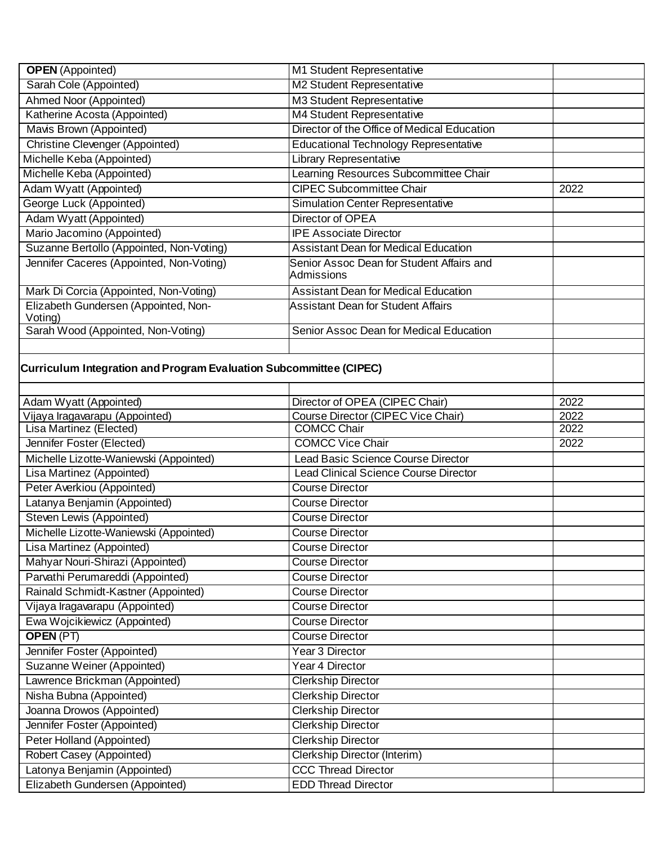| <b>OPEN</b> (Appointed)                                            | M1 Student Representative                                            |      |
|--------------------------------------------------------------------|----------------------------------------------------------------------|------|
| Sarah Cole (Appointed)                                             | M2 Student Representative                                            |      |
| Ahmed Noor (Appointed)                                             | M3 Student Representative                                            |      |
| Katherine Acosta (Appointed)                                       | M4 Student Representative                                            |      |
| Mavis Brown (Appointed)                                            | Director of the Office of Medical Education                          |      |
| <b>Christine Clevenger (Appointed)</b>                             | <b>Educational Technology Representative</b>                         |      |
| Michelle Keba (Appointed)                                          | Library Representative                                               |      |
| Michelle Keba (Appointed)                                          | Learning Resources Subcommittee Chair                                |      |
| Adam Wyatt (Appointed)                                             | <b>CIPEC Subcommittee Chair</b>                                      | 2022 |
| George Luck (Appointed)                                            | <b>Simulation Center Representative</b>                              |      |
| Adam Wyatt (Appointed)                                             | Director of OPEA                                                     |      |
| Mario Jacomino (Appointed)                                         | <b>IPE Associate Director</b>                                        |      |
| Suzanne Bertollo (Appointed, Non-Voting)                           | <b>Assistant Dean for Medical Education</b>                          |      |
| Jennifer Caceres (Appointed, Non-Voting)                           | Senior Assoc Dean for Student Affairs and<br>Admissions              |      |
| Mark Di Corcia (Appointed, Non-Voting)                             | <b>Assistant Dean for Medical Education</b>                          |      |
| Elizabeth Gundersen (Appointed, Non-<br>Voting)                    | <b>Assistant Dean for Student Affairs</b>                            |      |
| Sarah Wood (Appointed, Non-Voting)                                 | Senior Assoc Dean for Medical Education                              |      |
|                                                                    |                                                                      |      |
| Curriculum Integration and Program Evaluation Subcommittee (CIPEC) |                                                                      |      |
|                                                                    |                                                                      | 2022 |
| Adam Wyatt (Appointed)<br>Vijaya Iragavarapu (Appointed)           | Director of OPEA (CIPEC Chair)<br>Course Director (CIPEC Vice Chair) | 2022 |
| Lisa Martinez (Elected)                                            | <b>COMCC Chair</b>                                                   | 2022 |
| Jennifer Foster (Elected)                                          | <b>COMCC Vice Chair</b>                                              | 2022 |
| Michelle Lizotte-Waniewski (Appointed)                             | Lead Basic Science Course Director                                   |      |
| Lisa Martinez (Appointed)                                          | <b>Lead Clinical Science Course Director</b>                         |      |
| Peter Averkiou (Appointed)                                         | <b>Course Director</b>                                               |      |
| Latanya Benjamin (Appointed)                                       | <b>Course Director</b>                                               |      |
| Steven Lewis (Appointed)                                           | <b>Course Director</b>                                               |      |
| Michelle Lizotte-Waniewski (Appointed)                             | <b>Course Director</b>                                               |      |
| Lisa Martinez (Appointed)                                          | Course Director                                                      |      |
| Mahyar Nouri-Shirazi (Appointed)                                   | <b>Course Director</b>                                               |      |
| Parvathi Perumareddi (Appointed)                                   | <b>Course Director</b>                                               |      |
| Rainald Schmidt-Kastner (Appointed)                                | <b>Course Director</b>                                               |      |
| Vijaya Iragavarapu (Appointed)                                     | <b>Course Director</b>                                               |      |
| Ewa Wojcikiewicz (Appointed)                                       | <b>Course Director</b>                                               |      |
| <b>OPEN (PT)</b>                                                   | <b>Course Director</b>                                               |      |
| Jennifer Foster (Appointed)                                        | Year 3 Director                                                      |      |
| Suzanne Weiner (Appointed)                                         | Year 4 Director                                                      |      |
| Lawrence Brickman (Appointed)                                      | <b>Clerkship Director</b>                                            |      |
| Nisha Bubna (Appointed)                                            | <b>Clerkship Director</b>                                            |      |
| Joanna Drowos (Appointed)                                          | <b>Clerkship Director</b>                                            |      |
| Jennifer Foster (Appointed)                                        | <b>Clerkship Director</b>                                            |      |
| Peter Holland (Appointed)                                          | <b>Clerkship Director</b>                                            |      |
| Robert Casey (Appointed)                                           | Clerkship Director (Interim)                                         |      |
| Latonya Benjamin (Appointed)                                       | <b>CCC Thread Director</b>                                           |      |
| Elizabeth Gundersen (Appointed)                                    | <b>EDD Thread Director</b>                                           |      |
|                                                                    |                                                                      |      |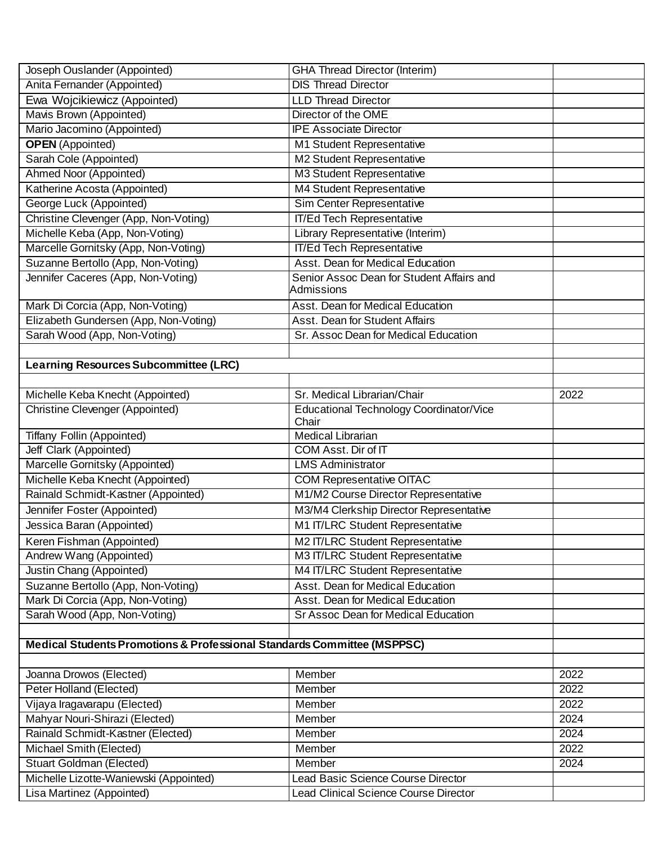| Joseph Ouslander (Appointed)                                            | <b>GHA Thread Director (Interim)</b>                           |      |
|-------------------------------------------------------------------------|----------------------------------------------------------------|------|
| Anita Fernander (Appointed)                                             | <b>DIS Thread Director</b>                                     |      |
| Ewa Wojcikiewicz (Appointed)                                            | <b>LLD Thread Director</b>                                     |      |
| Mavis Brown (Appointed)                                                 | Director of the OME                                            |      |
| Mario Jacomino (Appointed)                                              | <b>IPE Associate Director</b>                                  |      |
| <b>OPEN</b> (Appointed)                                                 | M1 Student Representative                                      |      |
| Sarah Cole (Appointed)                                                  | M2 Student Representative                                      |      |
| Ahmed Noor (Appointed)                                                  | <b>M3 Student Representative</b>                               |      |
| Katherine Acosta (Appointed)                                            | M4 Student Representative                                      |      |
| George Luck (Appointed)                                                 | Sim Center Representative                                      |      |
| Christine Clevenger (App, Non-Voting)                                   | <b>IT/Ed Tech Representative</b>                               |      |
| Michelle Keba (App, Non-Voting)                                         | Library Representative (Interim)                               |      |
| Marcelle Gornitsky (App, Non-Voting)                                    | <b>IT/Ed Tech Representative</b>                               |      |
| Suzanne Bertollo (App, Non-Voting)                                      | Asst. Dean for Medical Education                               |      |
| Jennifer Caceres (App, Non-Voting)                                      | Senior Assoc Dean for Student Affairs and<br><b>Admissions</b> |      |
| Mark Di Corcia (App, Non-Voting)                                        | Asst. Dean for Medical Education                               |      |
| Elizabeth Gundersen (App, Non-Voting)                                   | Asst. Dean for Student Affairs                                 |      |
| Sarah Wood (App, Non-Voting)                                            | Sr. Assoc Dean for Medical Education                           |      |
|                                                                         |                                                                |      |
| <b>Learning Resources Subcommittee (LRC)</b>                            |                                                                |      |
|                                                                         |                                                                |      |
| Michelle Keba Knecht (Appointed)                                        | Sr. Medical Librarian/Chair                                    | 2022 |
| Christine Clevenger (Appointed)                                         | <b>Educational Technology Coordinator/Vice</b><br>Chair        |      |
| Tiffany Follin (Appointed)                                              | <b>Medical Librarian</b>                                       |      |
| Jeff Clark (Appointed)                                                  | COM Asst. Dir of IT                                            |      |
| Marcelle Gornitsky (Appointed)                                          | <b>LMS Administrator</b>                                       |      |
| Michelle Keba Knecht (Appointed)                                        | <b>COM Representative OITAC</b>                                |      |
| Rainald Schmidt-Kastner (Appointed)                                     | M1/M2 Course Director Representative                           |      |
| Jennifer Foster (Appointed)                                             | M3/M4 Clerkship Director Representative                        |      |
| Jessica Baran (Appointed)                                               | M1 IT/LRC Student Representative                               |      |
| Keren Fishman (Appointed)                                               | M2 IT/LRC Student Representative                               |      |
| Andrew Wang (Appointed)                                                 | M3 IT/LRC Student Representative                               |      |
| Justin Chang (Appointed)                                                | M4 IT/LRC Student Representative                               |      |
| Suzanne Bertollo (App, Non-Voting)                                      | Asst. Dean for Medical Education                               |      |
| Mark Di Corcia (App, Non-Voting)                                        | Asst. Dean for Medical Education                               |      |
| Sarah Wood (App, Non-Voting)                                            | <b>Sr Assoc Dean for Medical Education</b>                     |      |
|                                                                         |                                                                |      |
| Medical Students Promotions & Professional Standards Committee (MSPPSC) |                                                                |      |
|                                                                         |                                                                |      |
| Joanna Drowos (Elected)                                                 | Member                                                         | 2022 |
| Peter Holland (Elected)                                                 | Member                                                         | 2022 |
| Vijaya Iragavarapu (Elected)                                            | Member                                                         | 2022 |
| Mahyar Nouri-Shirazi (Elected)                                          | Member                                                         | 2024 |
| Rainald Schmidt-Kastner (Elected)                                       | <b>Member</b>                                                  | 2024 |
| Michael Smith (Elected)                                                 | Member                                                         | 2022 |
| <b>Stuart Goldman (Elected)</b>                                         | Member                                                         | 2024 |
| Michelle Lizotte-Waniewski (Appointed)                                  | Lead Basic Science Course Director                             |      |
| Lisa Martinez (Appointed)                                               | Lead Clinical Science Course Director                          |      |